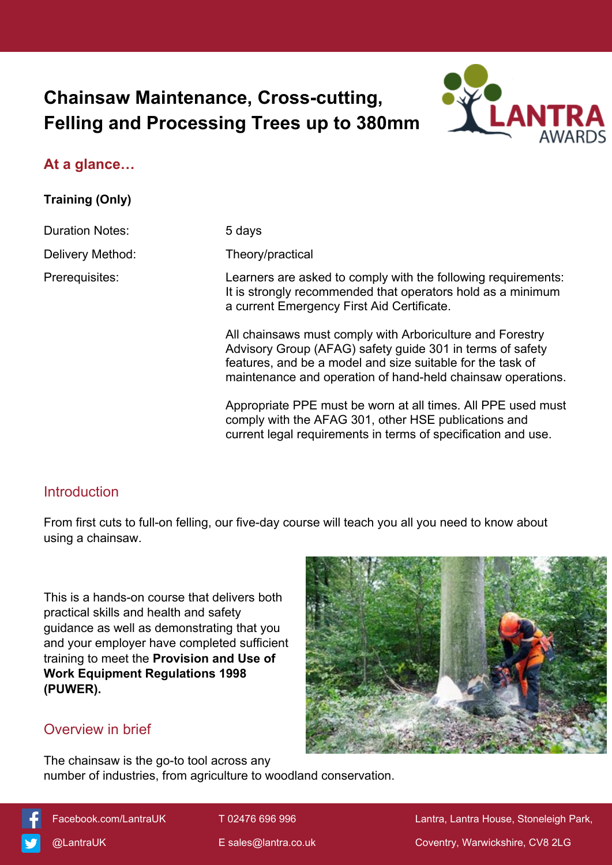# **Chainsaw Maintenance, Cross-cutting, Felling and Processing Trees up to 380mm**



# **At a glance…**

**Training (Only)**

Duration Notes: 5 days

Delivery Method: Theory/practical

Prerequisites: Learners are asked to comply with the following requirements: It is strongly recommended that operators hold as a minimum a current Emergency First Aid Certificate.

> All chainsaws must comply with Arboriculture and Forestry Advisory Group (AFAG) safety guide 301 in terms of safety features, and be a model and size suitable for the task of maintenance and operation of hand-held chainsaw operations.

> Appropriate PPE must be worn at all times. All PPE used must comply with the AFAG 301, other HSE publications and current legal requirements in terms of specification and use.

# **Introduction**

From first cuts to full-on felling, our five-day course will teach you all you need to know about using a chainsaw.

This is a hands-on course that delivers both practical skills and health and safety guidance as well as demonstrating that you and your employer have completed sufficient training to meet the **Provision and Use of Work Equipment Regulations 1998 (PUWER).**



# Overview in brief

The chainsaw is the go-to tool across any number of industries, from agriculture to woodland conservation.

 [Facebook.com/LantraUK](https://www.facebook.com/LantraUK/) T 02476 696 996 Lantra, Lantra House, Stoneleigh Park, [@LantraUK](http://www.twitter.com/lantrauk) E [sales@lantra.co.uk](mailto:sales@lantra.co.uk) Coventry, Warwickshire, CV8 2LG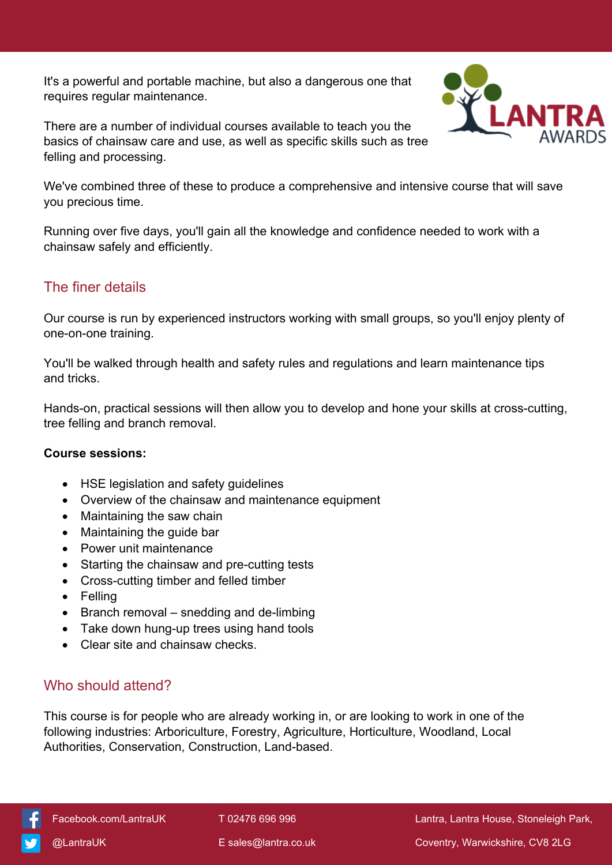It's a powerful and portable machine, but also a dangerous one that requires regular maintenance.

There are a number of individual courses available to teach you the basics of chainsaw care and use, as well as specific skills such as tree felling and processing.



We've combined three of these to produce a comprehensive and intensive course that will save you precious time.

Running over five days, you'll gain all the knowledge and confidence needed to work with a chainsaw safely and efficiently.

### The finer details

Our course is run by experienced instructors working with small groups, so you'll enjoy plenty of one-on-one training.

You'll be walked through health and safety rules and regulations and learn maintenance tips and tricks.

Hands-on, practical sessions will then allow you to develop and hone your skills at cross-cutting, tree felling and branch removal.

#### **Course sessions:**

- HSE legislation and safety guidelines
- Overview of the chainsaw and maintenance equipment
- Maintaining the saw chain
- Maintaining the guide bar
- Power unit maintenance
- Starting the chainsaw and pre-cutting tests
- Cross-cutting timber and felled timber
- Felling
- $\bullet$  Branch removal snedding and de-limbing
- Take down hung-up trees using hand tools
- Clear site and chainsaw checks.

# Who should attend?

This course is for people who are already working in, or are looking to work in one of the following industries: Arboriculture, Forestry, Agriculture, Horticulture, Woodland, Local Authorities, Conservation, Construction, Land-based.



[Facebook.com/LantraUK](https://www.facebook.com/LantraUK/) T 02476 696 996 Lantra, Lantra, Lantra House, Stoneleigh Park,

[@LantraUK](http://www.twitter.com/lantrauk) E [sales@lantra.co.uk](mailto:sales@lantra.co.uk) Coventry, Warwickshire, CV8 2LG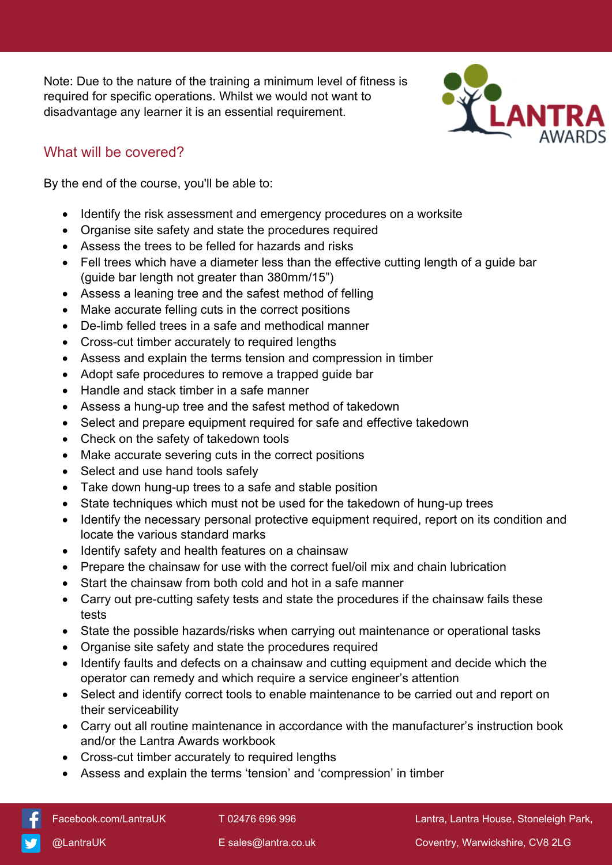Note: Due to the nature of the training a minimum level of fitness is required for specific operations. Whilst we would not want to disadvantage any learner it is an essential requirement.



# What will be covered?

By the end of the course, you'll be able to:

- Identify the risk assessment and emergency procedures on a worksite
- Organise site safety and state the procedures required
- Assess the trees to be felled for hazards and risks
- Fell trees which have a diameter less than the effective cutting length of a guide bar (guide bar length not greater than 380mm/15")
- Assess a leaning tree and the safest method of felling
- Make accurate felling cuts in the correct positions
- De-limb felled trees in a safe and methodical manner
- Cross-cut timber accurately to required lengths
- Assess and explain the terms tension and compression in timber
- Adopt safe procedures to remove a trapped guide bar
- Handle and stack timber in a safe manner
- Assess a hung-up tree and the safest method of takedown
- Select and prepare equipment required for safe and effective takedown
- Check on the safety of takedown tools
- Make accurate severing cuts in the correct positions
- Select and use hand tools safely
- Take down hung-up trees to a safe and stable position
- State techniques which must not be used for the takedown of hung-up trees
- Identify the necessary personal protective equipment required, report on its condition and locate the various standard marks
- Identify safety and health features on a chainsaw
- Prepare the chainsaw for use with the correct fuel/oil mix and chain lubrication
- Start the chainsaw from both cold and hot in a safe manner
- Carry out pre-cutting safety tests and state the procedures if the chainsaw fails these tests
- State the possible hazards/risks when carrying out maintenance or operational tasks
- Organise site safety and state the procedures required
- Identify faults and defects on a chainsaw and cutting equipment and decide which the operator can remedy and which require a service engineer's attention
- Select and identify correct tools to enable maintenance to be carried out and report on their serviceability
- Carry out all routine maintenance in accordance with the manufacturer's instruction book and/or the Lantra Awards workbook
- Cross-cut timber accurately to required lengths
- Assess and explain the terms 'tension' and 'compression' in timber

[Facebook.com/LantraUK](https://www.facebook.com/LantraUK/) T 02476 696 996 Lantra, Lantra, Lantra House, Stoneleigh Park,

[@LantraUK](http://www.twitter.com/lantrauk) E [sales@lantra.co.uk](mailto:sales@lantra.co.uk) Coventry, Warwickshire, CV8 2LG